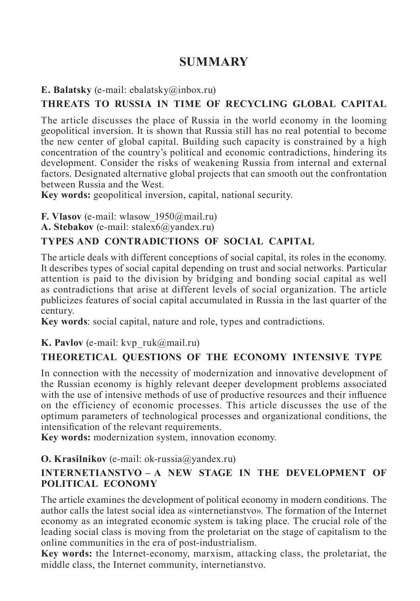# **SUMMARY**

**E. Balatsky** (e-mail: ebalatsky@inbox.ru)

## **THREATS TO RUSSIA IN TIME OF RECYCLING GLOBAL CAPITAL**

The article discusses the place of Russia in the world economy in the looming geopolitical inversion. It is shown that Russia still has no real potential to become the new center of global capital. Building such capacity is constrained by a high concentration of the country's political and economic contradictions, hindering its development. Consider the risks of weakening Russia from internal and external factors. Designated alternative global projects that can smooth out the confrontation between Russia and the West.

**Key words:** geopolitical inversion, capital, national security.

**F. Vlasov** (e-mail: wlasow\_1950@mail.ru)

**A. Stebakov** (e-mail: stalex6@yandex.ru)

## **TYPES AND CONTRADICTIONS OF SOCIAL CAPITAL**

The article deals with different conceptions of social capital, its roles in the economy. It describes types of social capital depending on trust and social networks. Particular attention is paid to the division by bridging and bonding social capital as well as contradictions that arise at different levels of social organization. The article publicizes features of social capital accumulated in Russia in the last quarter of the century.

**Key words**: social capital, nature and role, types and contradictions.

**K. Pavlov** (e-mail: kvp\_ruk@mail.ru)

## **THEORETICAL QUESTIONS OF THE ECONOMY INTENSIVE TYPE**

In connection with the necessity of modernization and innovative development of the Russian economy is highly relevant deeper development problems associated with the use of intensive methods of use of productive resources and their influence on the efficiency of economic processes. This article discusses the use of the optimum parameters of technological processes and organizational conditions, the intensification of the relevant requirements.

**Key words:** modernization system, innovation economy.

### **O. Krasilnikov** (e-mail: ok-russia@yandex.ru)

### **INTERNETIANSTVO – A NEW STAGE IN THE DEVELOPMENT OF POLITICAL ECONOMY**

The article examines the development of political economy in modern conditions. The author calls the latest social idea as «internetianstvo». The formation of the Internet economy as an integrated economic system is taking place. The crucial role of the leading social class is moving from the proletariat on the stage of capitalism to the online communities in the era of post-industrialism.

**Key words:** the Internet-economy, marxism, attacking class, the proletariat, the middle class, the Internet community, internetianstvo.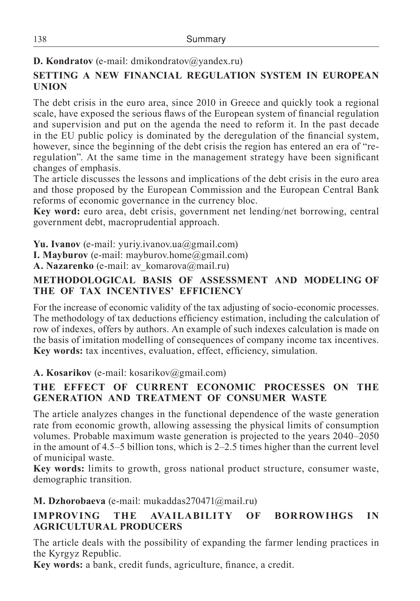## **D. Kondratov** (e-mail: dmikondratov@yandex.ru)

## **SETTING A NEW FINANCIAL REGULATION SYSTEM IN EUROPEAN UNION**

The debt crisis in the euro area, since 2010 in Greece and quickly took a regional scale, have exposed the serious flaws of the European system of financial regulation and supervision and put on the agenda the need to reform it. In the past decade in the EU public policy is dominated by the deregulation of the financial system, however, since the beginning of the debt crisis the region has entered an era of "reregulation". At the same time in the management strategy have been significant changes of emphasis.

The article discusses the lessons and implications of the debt crisis in the euro area and those proposed by the European Commission and the European Central Bank reforms of economic governance in the currency bloc.

**Key word:** euro area, debt crisis, government net lending/net borrowing, central government debt, macroprudential approach.

**Yu. Ivanov** (e-mail: yuriy.ivanov.ua@gmail.com)

**I. Mayburov** (e-mail: mayburov.home@gmail.com)

**A. Nazarenko** (e-mail: av\_komarova@mail.ru)

### **METHODOLOGICAL BASIS OF ASSESSMENT AND MODELING OF THE OF TAX INCENTIVES' EFFICIENCY**

For the increase of economic validity of the tax adjusting of socio-economic processes. The methodology of tax deductions efficiency estimation, including the calculation of row of indexes, offers by authors. An example of such indexes calculation is made on the basis of imitation modelling of consequences of company income tax incentives. **Key words:** tax incentives, evaluation, effect, efficiency, simulation.

**A. Kosarikov** (e-mail: kosarikov@gmail.com)

### **THE EFFECT OF CURRENT ECONOMIC PROCESSES ON THE GENERATION AND TREATMENT OF CONSUMER WASTE**

The article analyzes changes in the functional dependence of the waste generation rate from economic growth, allowing assessing the physical limits of consumption volumes. Probable maximum waste generation is projected to the years 2040–2050 in the amount of 4.5–5 billion tons, which is 2–2.5 times higher than the current level of municipal waste.

**Key words:** limits to growth, gross national product structure, consumer waste, demographic transition.

**M. Dzhorobaeva** (e-mail: mukaddas270471@mail.ru)

## **IMPROVING THE AVAILABILITY OF BORROWIHGS IN AGRICULTURAL PRODUCERS**

The article deals with the possibility of expanding the farmer lending practices in the Kyrgyz Republic.

**Key words:** a bank, credit funds, agriculture, finance, a credit.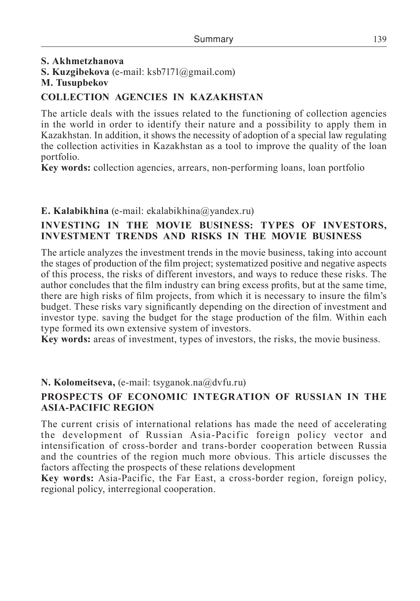## **S. Akhmetzhanova S. Kuzgibekova** (e-mail: ksb7171@gmail.com)

#### **M. Tusupbekov**

#### **COLLECTION AGENCIES IN KAZAKHSTAN**

The article deals with the issues related to the functioning of collection agencies in the world in order to identify their nature and a possibility to apply them in Kazakhstan. In addition, it shows the necessity of adoption of a special law regulating the collection activities in Kazakhstan as a tool to improve the quality of the loan portfolio.

**Key words:** collection agencies, arrears, non-performing loans, loan portfolio

#### **E. Kalabikhina** (e-mail: ekalabikhina@yandex.ru)

#### **INVESTING IN THE MOVIE BUSINESS: TYPES OF INVESTORS, INVESTMENT TRENDS AND RISKS IN THE MOVIE BUSINESS**

The article analyzes the investment trends in the movie business, taking into account the stages of production of the film project; systematized positive and negative aspects of this process, the risks of different investors, and ways to reduce these risks. The author concludes that the film industry can bring excess profits, but at the same time, there are high risks of film projects, from which it is necessary to insure the film's budget. These risks vary significantly depending on the direction of investment and investor type. saving the budget for the stage production of the film. Within each type formed its own extensive system of investors.

**Key words:** areas of investment, types of investors, the risks, the movie business.

#### **N. Kolomeitseva,** (e-mail: tsyganok.na@dvfu.ru)

#### **PROSPECTS OF ECONOMIC INTEGRATION OF RUSSIAN IN THE ASIA-PACIFIC REGION**

The current crisis of international relations has made the need of accelerating the development of Russian Asia-Pacific foreign policy vector and intensification of cross-border and trans-border cooperation between Russia and the countries of the region much more obvious. This article discusses the factors affecting the prospects of these relations development

**Key words:** Asia-Pacific, the Far East, a cross-border region, foreign policy, regional policy, interregional cooperation.